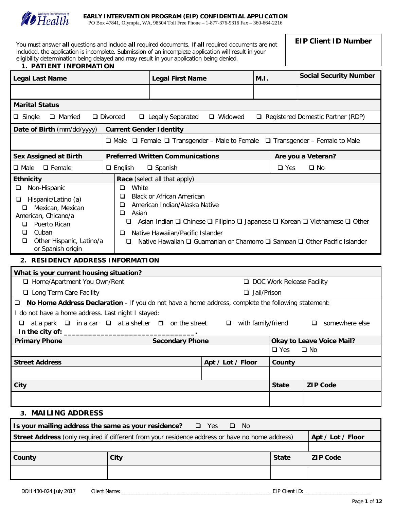

PO Box 47841, Olympia, WA, 98504 Toll Free Phone – 1-877-376-9316 Fax – 360-664-2216

You must answer **all** questions and include **all** required documents. If **all** required documents are not included, the application is incomplete. Submission of an incomplete application will result in your eligibility determination being delayed and may result in your application being denied.

**EIP Client ID Number**

## **1. PATIENT INFORMATION**

| <b>Legal Last Name</b>                                                                               |                                |                                         | <b>Legal First Name</b>          | M.I.                             | <b>Social Security Number</b>                                                                     |
|------------------------------------------------------------------------------------------------------|--------------------------------|-----------------------------------------|----------------------------------|----------------------------------|---------------------------------------------------------------------------------------------------|
|                                                                                                      |                                |                                         |                                  |                                  |                                                                                                   |
| <b>Marital Status</b>                                                                                |                                |                                         |                                  |                                  |                                                                                                   |
| $\Box$ Single<br>□ Married                                                                           | $\Box$ Divorced                | $\Box$ Legally Separated                | □ Widowed                        |                                  | Registered Domestic Partner (RDP)                                                                 |
| Date of Birth (mm/dd/yyyy)                                                                           | <b>Current Gender Identity</b> |                                         |                                  |                                  |                                                                                                   |
|                                                                                                      |                                |                                         |                                  |                                  | $\Box$ Male $\Box$ Female $\Box$ Transgender – Male to Female $\Box$ Transgender – Female to Male |
| <b>Sex Assigned at Birth</b>                                                                         |                                | <b>Preferred Written Communications</b> |                                  |                                  | Are you a Veteran?                                                                                |
| $\Box$ Female<br>$\Box$ Male                                                                         | $\Box$ English                 | $\square$ Spanish                       |                                  | $\Box$ Yes                       | $\square$ No                                                                                      |
| <b>Ethnicity</b>                                                                                     |                                | Race (select all that apply)            |                                  |                                  |                                                                                                   |
| Non-Hispanic<br>$\Box$                                                                               | White<br>$\Box$                |                                         |                                  |                                  |                                                                                                   |
| Hispanic/Latino (a)<br>$\Box$                                                                        | ❏                              | <b>Black or African American</b>        |                                  |                                  |                                                                                                   |
| Mexican, Mexican                                                                                     | ❏                              | American Indian/Alaska Native           |                                  |                                  |                                                                                                   |
| American, Chicano/a                                                                                  | Asian<br>◻                     |                                         |                                  |                                  |                                                                                                   |
| Puerto Rican<br>⊔                                                                                    | ⊔                              |                                         |                                  |                                  | Asian Indian □ Chinese □ Filipino □ Japanese □ Korean □ Vietnamese □ Other                        |
| Cuban<br>⊔<br>Other Hispanic, Latino/a<br>⊔                                                          | ⊔                              | Native Hawaiian/Pacific Islander        |                                  |                                  | Native Hawaiian □ Guamanian or Chamorro □ Samoan □ Other Pacific Islander                         |
| or Spanish origin                                                                                    | ⊔                              |                                         |                                  |                                  |                                                                                                   |
| 2. RESIDENCY ADDRESS INFORMATION                                                                     |                                |                                         |                                  |                                  |                                                                                                   |
| What is your current housing situation?                                                              |                                |                                         |                                  |                                  |                                                                                                   |
| □ Home/Apartment You Own/Rent<br>DOC Work Release Facility                                           |                                |                                         |                                  |                                  |                                                                                                   |
| □ Jail/Prison<br>$\Box$ Long Term Care Facility                                                      |                                |                                         |                                  |                                  |                                                                                                   |
| D No Home Address Declaration - If you do not have a home address, complete the following statement: |                                |                                         |                                  |                                  |                                                                                                   |
| I do not have a home address. Last night I stayed:                                                   |                                |                                         |                                  |                                  |                                                                                                   |
| at a park $\Box$ in a car $\Box$ at a shelter $\Box$ on the street<br>u.                             |                                |                                         |                                  | $\Box$ with family/friend $\Box$ | somewhere else                                                                                    |
| <b>Primary Phone</b><br><b>Secondary Phone</b>                                                       |                                |                                         | <b>Okay to Leave Voice Mail?</b> |                                  |                                                                                                   |
|                                                                                                      |                                |                                         |                                  | $\square$ Yes                    | $\square$ No                                                                                      |
| <b>Street Address</b>                                                                                |                                |                                         | Apt / Lot / Floor                | County                           |                                                                                                   |
|                                                                                                      |                                |                                         |                                  |                                  |                                                                                                   |
| City                                                                                                 |                                |                                         |                                  | <b>State</b>                     | <b>ZIP Code</b>                                                                                   |
|                                                                                                      |                                |                                         |                                  |                                  |                                                                                                   |
| 3. MAILING ADDRESS                                                                                   |                                |                                         |                                  |                                  |                                                                                                   |
| No<br>Is your mailing address the same as your residence?<br>Yes<br>$\Box$<br><b>□</b>               |                                |                                         |                                  |                                  |                                                                                                   |
| Street Address (only required if different from your residence address or have no home address)      |                                |                                         |                                  |                                  | Apt / Lot / Floor                                                                                 |
|                                                                                                      |                                |                                         |                                  |                                  |                                                                                                   |
| County                                                                                               | City                           |                                         |                                  | <b>State</b>                     | <b>ZIP Code</b>                                                                                   |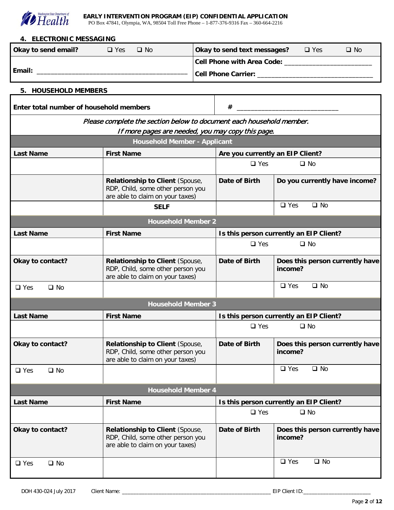

PO Box 47841, Olympia, WA, 98504 Toll Free Phone – 1-877-376-9316 Fax – 360-664-2216

## **4. ELECTRONIC MESSAGING**

| Okay to send email? | $\Box$ Yes | $\Box$ No | Okay to send text messages?       | $\Box$ Yes | No ا |
|---------------------|------------|-----------|-----------------------------------|------------|------|
|                     |            |           | <b>Cell Phone with Area Code:</b> |            |      |
| Email:              |            |           | <b>Cell Phone Carrier:</b>        |            |      |

#### **5. HOUSEHOLD MEMBERS**

| Enter total number of household members                                                                                   |                                                                                                                 | #                                |                                            |  |
|---------------------------------------------------------------------------------------------------------------------------|-----------------------------------------------------------------------------------------------------------------|----------------------------------|--------------------------------------------|--|
| Please complete the section below to document each household member.<br>If more pages are needed, you may copy this page. |                                                                                                                 |                                  |                                            |  |
|                                                                                                                           | <b>Household Member - Applicant</b>                                                                             |                                  |                                            |  |
| <b>Last Name</b>                                                                                                          | <b>First Name</b>                                                                                               | Are you currently an EIP Client? |                                            |  |
|                                                                                                                           |                                                                                                                 | $\Box$ Yes                       | $\square$ No                               |  |
|                                                                                                                           | <b>Relationship to Client (Spouse,</b><br>RDP, Child, some other person you<br>are able to claim on your taxes) | Date of Birth                    | Do you currently have income?              |  |
|                                                                                                                           | <b>SELF</b>                                                                                                     |                                  | $\Box$ Yes<br>$\square$ No                 |  |
|                                                                                                                           | <b>Household Member 2</b>                                                                                       |                                  |                                            |  |
| <b>Last Name</b>                                                                                                          | <b>First Name</b>                                                                                               |                                  | Is this person currently an EIP Client?    |  |
|                                                                                                                           |                                                                                                                 | $\Box$ Yes                       | $\square$ No                               |  |
| Okay to contact?                                                                                                          | <b>Relationship to Client (Spouse,</b><br>RDP, Child, some other person you<br>are able to claim on your taxes) | Date of Birth                    | Does this person currently have<br>income? |  |
| $\Box$ Yes<br>$\square$ No                                                                                                |                                                                                                                 |                                  | $\Box$ No<br>$\Box$ Yes                    |  |
|                                                                                                                           | <b>Household Member 3</b>                                                                                       |                                  |                                            |  |
| <b>Last Name</b>                                                                                                          | <b>First Name</b>                                                                                               |                                  | Is this person currently an EIP Client?    |  |
|                                                                                                                           |                                                                                                                 | $\square$ Yes                    | $\square$ No                               |  |
| Okay to contact?                                                                                                          | Relationship to Client (Spouse,<br>RDP, Child, some other person you<br>are able to claim on your taxes)        | Date of Birth                    | Does this person currently have<br>income? |  |
| $\Box$ No<br>$\Box$ Yes                                                                                                   |                                                                                                                 |                                  | $\Box$ Yes<br>$\square$ No                 |  |
|                                                                                                                           | <b>Household Member 4</b>                                                                                       |                                  |                                            |  |
| <b>Last Name</b>                                                                                                          | <b>First Name</b>                                                                                               |                                  | Is this person currently an EIP Client?    |  |
|                                                                                                                           |                                                                                                                 | $\square$ Yes                    | $\square$ No                               |  |
| Okay to contact?                                                                                                          | <b>Relationship to Client (Spouse,</b><br>RDP, Child, some other person you<br>are able to claim on your taxes) | Date of Birth                    | Does this person currently have<br>income? |  |
| $\square$ No<br>$\Box$ Yes                                                                                                |                                                                                                                 |                                  | $\square$ Yes<br>$\Box$ No                 |  |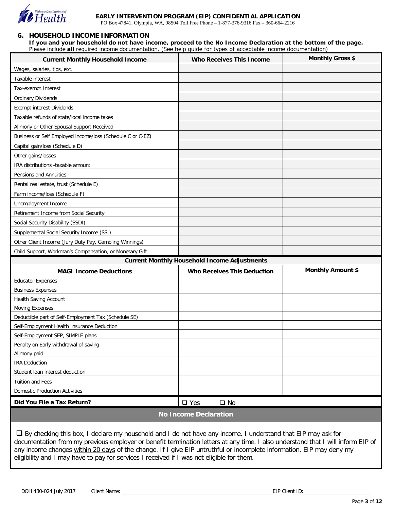

PO Box 47841, Olympia, WA, 98504 Toll Free Phone – 1-877-376-9316 Fax – 360-664-2216

#### **6. HOUSEHOLD INCOME INFORMATION**

**If you and your household do not have income, proceed to the No Income Declaration at the bottom of the page.** Please include **all** required income documentation. (See help guide for types of acceptable income documentation)

| <b>Current Monthly Household Income</b>                    | <b>Who Receives This Income</b>                     | <b>Monthly Gross \$</b>  |
|------------------------------------------------------------|-----------------------------------------------------|--------------------------|
| Wages, salaries, tips, etc.                                |                                                     |                          |
| Taxable interest                                           |                                                     |                          |
| Tax-exempt Interest                                        |                                                     |                          |
| <b>Ordinary Dividends</b>                                  |                                                     |                          |
| <b>Exempt interest Dividends</b>                           |                                                     |                          |
| Taxable refunds of state/local income taxes                |                                                     |                          |
| Alimony or Other Spousal Support Received                  |                                                     |                          |
| Business or Self Employed income/loss (Schedule C or C-EZ) |                                                     |                          |
| Capital gain/loss (Schedule D)                             |                                                     |                          |
| Other gains/losses                                         |                                                     |                          |
| IRA distributions -taxable amount                          |                                                     |                          |
| Pensions and Annuities                                     |                                                     |                          |
| Rental real estate, trust (Schedule E)                     |                                                     |                          |
| Farm income/loss (Schedule F)                              |                                                     |                          |
| Unemployment Income                                        |                                                     |                          |
| Retirement Income from Social Security                     |                                                     |                          |
| Social Security Disability (SSDI)                          |                                                     |                          |
| Supplemental Social Security Income (SSI)                  |                                                     |                          |
| Other Client Income (Jury Duty Pay, Gambling Winnings)     |                                                     |                          |
|                                                            |                                                     |                          |
| Child Support, Workman's Compensation, or Monetary Gift    |                                                     |                          |
|                                                            | <b>Current Monthly Household Income Adjustments</b> |                          |
| <b>MAGI Income Deductions</b>                              | <b>Who Receives This Deduction</b>                  | <b>Monthly Amount \$</b> |
| <b>Educator Expenses</b>                                   |                                                     |                          |
| <b>Business Expenses</b>                                   |                                                     |                          |
| Health Saving Account                                      |                                                     |                          |
| Moving Expenses                                            |                                                     |                          |
| Deductible part of Self-Employment Tax (Schedule SE)       |                                                     |                          |
| Self-Employment Health Insurance Deduction                 |                                                     |                          |
| Self-Employment SEP, SIMPLE plans                          |                                                     |                          |
| Penalty on Early withdrawal of saving                      |                                                     |                          |
| Alimony paid                                               |                                                     |                          |
| <b>IRA Deduction</b>                                       |                                                     |                          |
| Student loan interest deduction                            |                                                     |                          |
| Tuition and Fees                                           |                                                     |                          |
| <b>Domestic Production Activities</b>                      |                                                     |                          |
| Did You File a Tax Return?                                 | $\Box$ Yes<br>$\square$ No                          |                          |
|                                                            | <b>No Income Declaration</b>                        |                          |

 By checking this box, I declare my household and I do not have any income. I understand that EIP may ask for documentation from my previous employer or benefit termination letters at any time. I also understand that I will inform EIP of any income changes within 20 days of the change. If I give EIP untruthful or incomplete information, EIP may deny my eligibility and I may have to pay for services I received if I was not eligible for them.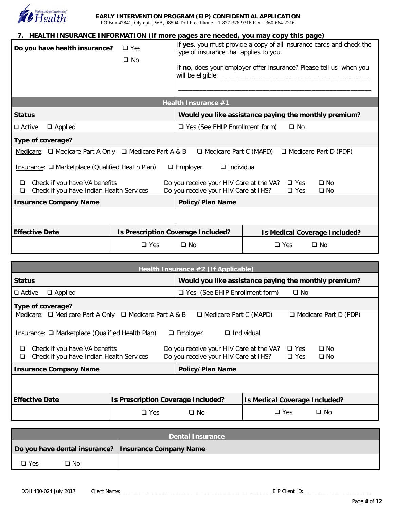

PO Box 47841, Olympia, WA, 98504 Toll Free Phone – 1-877-376-9316 Fax – 360-664-2216

| 7. HEALTH INSURANCE INFORMATION (if more pages are needed, you may copy this page)                       |                                           |                                                                                                                |                                                       |  |
|----------------------------------------------------------------------------------------------------------|-------------------------------------------|----------------------------------------------------------------------------------------------------------------|-------------------------------------------------------|--|
| Do you have health insurance?                                                                            | $\Box$ Yes                                | If yes, you must provide a copy of all insurance cards and check the<br>type of insurance that applies to you. |                                                       |  |
|                                                                                                          | $\square$ No                              |                                                                                                                |                                                       |  |
|                                                                                                          |                                           | If no, does your employer offer insurance? Please tell us when you                                             |                                                       |  |
|                                                                                                          |                                           |                                                                                                                |                                                       |  |
|                                                                                                          |                                           | <b>Health Insurance #1</b>                                                                                     |                                                       |  |
| <b>Status</b>                                                                                            |                                           |                                                                                                                | Would you like assistance paying the monthly premium? |  |
| $\Box$ Applied<br>$\Box$ Active                                                                          |                                           | $\Box$ Yes (See EHIP Enrollment form)<br>$\Box$ No                                                             |                                                       |  |
| Type of coverage?                                                                                        |                                           |                                                                                                                |                                                       |  |
| Medicare: Q Medicare Part A Only Q Medicare Part A & B                                                   |                                           | $\Box$ Medicare Part C (MAPD)                                                                                  | □ Medicare Part D (PDP)                               |  |
| Insurance: $\Box$ Marketplace (Qualified Health Plan)                                                    |                                           | $\Box$ Individual<br>$\Box$ Employer                                                                           |                                                       |  |
| Check if you have VA benefits<br>Do you receive your HIV Care at the VA?<br>$\Box$ No<br>$\Box$ Yes<br>⊔ |                                           |                                                                                                                |                                                       |  |
| Check if you have Indian Health Services<br>$\Box$                                                       |                                           | Do you receive your HIV Care at IHS?                                                                           | $\Box$ Yes<br>$\Box$ No                               |  |
| <b>Insurance Company Name</b>                                                                            |                                           | Policy/Plan Name                                                                                               |                                                       |  |
|                                                                                                          |                                           |                                                                                                                |                                                       |  |
| <b>Effective Date</b>                                                                                    | <b>Is Prescription Coverage Included?</b> |                                                                                                                | <b>Is Medical Coverage Included?</b>                  |  |
|                                                                                                          | $\Box$ Yes                                | $\square$ No                                                                                                   | $\Box$ Yes<br>$\square$ No                            |  |

| Health Insurance #2 (If Applicable)                                                           |                                    |                                         |            |                                                       |
|-----------------------------------------------------------------------------------------------|------------------------------------|-----------------------------------------|------------|-------------------------------------------------------|
| <b>Status</b>                                                                                 |                                    |                                         |            | Would you like assistance paying the monthly premium? |
| $\Box$ Applied<br>$\Box$ Active                                                               |                                    | $\Box$ Yes (See EHIP Enrollment form)   |            | $\Box$ No                                             |
| Type of coverage?                                                                             |                                    |                                         |            |                                                       |
| Medicare: $\Box$ Medicare Part A Only $\Box$ Medicare Part A & B                              |                                    | $\Box$ Medicare Part C (MAPD)           |            | $\Box$ Medicare Part D (PDP)                          |
| Insurance: $\Box$ Marketplace (Qualified Health Plan)<br>$\Box$ Employer<br>$\Box$ Individual |                                    |                                         |            |                                                       |
| Check if you have VA benefits<br>⊔                                                            |                                    | Do you receive your HIV Care at the VA? |            | $\Box$ Yes<br>$\Box$ No                               |
| Check if you have Indian Health Services<br>⊔                                                 |                                    | Do you receive your HIV Care at IHS?    |            | $\Box$ Yes<br>$\square$ No                            |
| <b>Insurance Company Name</b>                                                                 |                                    | <b>Policy/Plan Name</b>                 |            |                                                       |
|                                                                                               |                                    |                                         |            |                                                       |
| <b>Effective Date</b>                                                                         | Is Prescription Coverage Included? |                                         |            | <b>Is Medical Coverage Included?</b>                  |
|                                                                                               | $\Box$ Yes                         | $\Box$ No                               | $\Box$ Yes | $\Box$ No                                             |

| Dental Insurance |      |                                                        |  |
|------------------|------|--------------------------------------------------------|--|
|                  |      | Do you have dental insurance?   Insurance Company Name |  |
| Yes ב            | ם No |                                                        |  |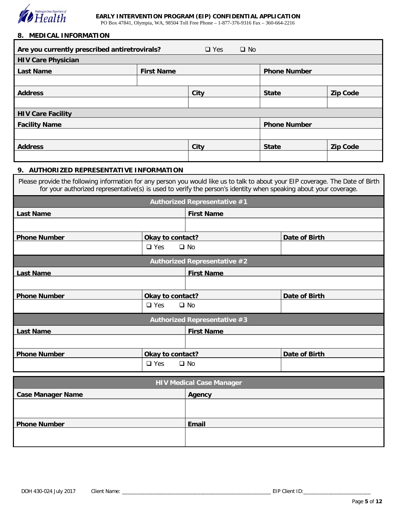

PO Box 47841, Olympia, WA, 98504 Toll Free Phone – 1-877-376-9316 Fax – 360-664-2216

#### **8. MEDICAL INFORMATION**

| Are you currently prescribed antiretrovirals? |                   | $\Box$ Yes<br>$\square$ No |                     |                 |
|-----------------------------------------------|-------------------|----------------------------|---------------------|-----------------|
| <b>HIV Care Physician</b>                     |                   |                            |                     |                 |
| <b>Last Name</b>                              | <b>First Name</b> |                            | <b>Phone Number</b> |                 |
|                                               |                   |                            |                     |                 |
| <b>Address</b>                                |                   | City                       | <b>State</b>        | <b>Zip Code</b> |
|                                               |                   |                            |                     |                 |
| <b>HIV Care Facility</b>                      |                   |                            |                     |                 |
| <b>Facility Name</b>                          |                   |                            | <b>Phone Number</b> |                 |
|                                               |                   |                            |                     |                 |
| <b>Address</b>                                |                   | City                       | <b>State</b>        | <b>Zip Code</b> |
|                                               |                   |                            |                     |                 |

## **9. AUTHORIZED REPRESENTATIVE INFORMATION**

|                          |                                   | for your authorized representative(s) is used to verify the person's identity when speaking about your coverage. | Please provide the following information for any person you would like us to talk to about your EIP coverage. The Date of Birth |
|--------------------------|-----------------------------------|------------------------------------------------------------------------------------------------------------------|---------------------------------------------------------------------------------------------------------------------------------|
|                          |                                   | <b>Authorized Representative #1</b>                                                                              |                                                                                                                                 |
| <b>Last Name</b>         |                                   | <b>First Name</b>                                                                                                |                                                                                                                                 |
|                          |                                   |                                                                                                                  |                                                                                                                                 |
| <b>Phone Number</b>      | Okay to contact?                  |                                                                                                                  | Date of Birth                                                                                                                   |
|                          | $\Box$ Yes                        | $\Box$ No                                                                                                        |                                                                                                                                 |
|                          |                                   | <b>Authorized Representative #2</b>                                                                              |                                                                                                                                 |
| <b>Last Name</b>         |                                   | <b>First Name</b>                                                                                                |                                                                                                                                 |
|                          |                                   |                                                                                                                  |                                                                                                                                 |
| <b>Phone Number</b>      | Date of Birth<br>Okay to contact? |                                                                                                                  |                                                                                                                                 |
|                          | $\Box$ Yes                        | $\Box$ No                                                                                                        |                                                                                                                                 |
|                          |                                   | <b>Authorized Representative #3</b>                                                                              |                                                                                                                                 |
| <b>Last Name</b>         |                                   | <b>First Name</b>                                                                                                |                                                                                                                                 |
|                          |                                   |                                                                                                                  |                                                                                                                                 |
| <b>Phone Number</b>      | Okay to contact?                  |                                                                                                                  | <b>Date of Birth</b>                                                                                                            |
|                          | $\Box$ Yes                        | $\Box$ No                                                                                                        |                                                                                                                                 |
|                          |                                   | <b>HIV Medical Case Manager</b>                                                                                  |                                                                                                                                 |
| <b>Case Manager Name</b> |                                   |                                                                                                                  |                                                                                                                                 |
|                          |                                   | <b>Agency</b>                                                                                                    |                                                                                                                                 |
|                          |                                   |                                                                                                                  |                                                                                                                                 |
| <b>Phone Number</b>      |                                   | <b>Email</b>                                                                                                     |                                                                                                                                 |
|                          |                                   |                                                                                                                  |                                                                                                                                 |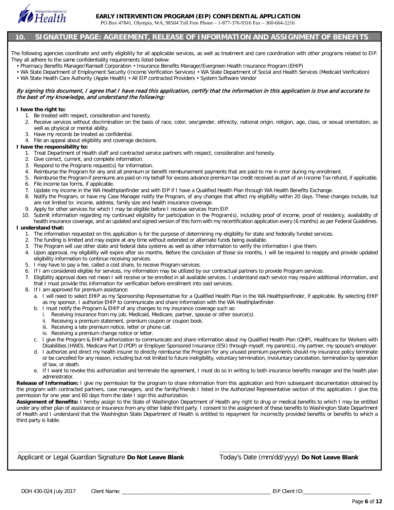

PO Box 47841, Olympia, WA, 98504 Toll Free Phone – 1-877-376-9316 Fax – 360-664-2216

#### **10. SIGNATURE PAGE: AGREEMENT, RELEASE OF INFORMATION AND ASSIGNMENT OF BENEFITS**

The following agencies coordinate and verify eligibility for all applicable services, as well as treatment and care coordination with other programs related to EIP. They all adhere to the same confidentiality requirements listed below:

- Pharmacy Benefits Manager/Ramsell Corporation Insurance Benefits Manager/Evergreen Health Insurance Program (EHIP)
- WA State Department of Employment Security (Income Verification Services) WA State Department of Social and Health Services (Medicaid Verification) • WA State Health Care Authority (Apple Health) • All EIP contracted Providers • System Software Vendor

#### By signing this document, I agree that I have read this application, certify that the information in this application is true and accurate to the best of my knowledge, and understand the following:

#### **I have the right to:**

- 1. Be treated with respect, consideration and honesty.
- 2. Receive services without discrimination on the basis of race, color, sex/gender, ethnicity, national origin, religion, age, class, or sexual orientation, as well as physical or mental ability.
- 3. Have my records be treated as confidential.
- 4. File an appeal about eligibility and coverage decisions.

#### **I have the responsibility to:**

- 1. Treat Department of Health staff and contracted service partners with respect, consideration and honesty.
- 2. Give correct, current, and complete information.
- 3. Respond to the Programs request(s) for information.
- 4. Reimburse the Program for any and all premium or benefit reimbursement payments that are paid to me in error during my enrollment.
- 5. Reimburse the Program if premiums are paid on my behalf for excess advance premium tax credit received as part of an Income Tax refund, if applicable. 6. File income tax forms, if applicable.
- 7. Update my income in the WA Healthplanfinder and with EIP if I have a Qualified Health Plan through WA Health Benefits Exchange.
- 8. Notify the Program, or have my Case Manager notify the Program, of any changes that affect my eligibility within 20 days. These changes include, but are not limited to: income, address, family size and health insurance coverage.
- 9. Apply for other services for which I may be eligible before I receive services from EIP.
- 10. Submit information regarding my continued eligibility for participation in the Program(s), including proof of income, proof of residency, availability of health insurance coverage, and an updated and signed version of this form with my recertification application every (6 months) as per Federal Guidelines.

#### **I understand that:**

- 1. The information requested on this application is for the purpose of determining my eligibility for state and federally funded services.
- 2. The funding is limited and may expire at any time without extended or alternate funds being available.
- 3. The Program will use other state and federal data systems as well as other information to verify the information I give them.
- 4. Upon approval, my eligibility will expire after six months. Before the conclusion of those six months, I will be required to reapply and provide updated eligibility information to continue receiving services.
- 5. I may have to pay a fee, called a cost share, to receive Program services.
- 6. If I am considered eligible for services, my information may be utilized by our contractual partners to provide Program services.
- 7. Eligibility approval does not mean I will receive or be enrolled in all available services. I understand each service may require additional information, and that I must provide this information for verification before enrollment into said services.
- 8. If I am approved for premium assistance:
	- a. I will need to select EHIP as my Sponsorship Representative for a Qualified Health Plan in the WA Healthplanfinder, if applicable. By selecting EHIP as my sponsor, I authorize EHIP to communicate and share information with the WA Healthplanfinder.
	- b. I must notify the Program & EHIP of any changes to my insurance coverage such as:
		- i. Receiving insurance from my job, Medicaid, Medicare, partner, spouse or other source(s).
		- ii. Receiving a premium statement, premium coupon or coupon book.
		- iii. Receiving a late premium notice, letter or phone call.
		- iv. Receiving a premium change notice or letter.
	- c. I give the Program & EHIP authorization to communicate and share information about my Qualified Health Plan (QHP), Healthcare for Workers with Disabilities (HWD), Medicare Part D (PDP) or Employer Sponsored Insurance (ESI) through myself, my parent(s), my partner, my spouse's employer.
	- d. I authorize and direct my health insurer to directly reimburse the Program for any unused premium payments should my insurance policy terminate or be cancelled for any reason, including but not limited to future ineligibility, voluntary termination, involuntary cancelation, termination by operation of law, or death.
	- e. If I want to revoke this authorization and terminate the agreement, I must do so in writing to both insurance benefits manager and the health plan administrator.

**Release of Information:** I give my permission for the program to share information from this application and from subsequent documentation obtained by the program with contracted partners, case managers, and the family/friends I listed in the Authorized Representative section of this application. I give this permission for one year and 60 days from the date I sign this authorization.

**Assignment of Benefits:** I hereby assign to the State of Washington Department of Health any right to drug or medical benefits to which I may be entitled under any other plan of assistance or insurance from any other liable third party. I consent to the assignment of these benefits to Washington State Department of Health and I understand that the Washington State Department of Health is entitled to repayment for incorrectly provided benefits or benefits to which a third party is liable.

\_\_\_\_\_\_\_\_\_\_\_\_\_\_\_\_\_\_\_\_\_\_\_\_\_\_\_\_\_\_\_\_\_\_\_\_\_\_\_\_\_\_\_\_\_\_\_\_\_\_\_\_\_\_\_\_\_\_\_\_\_\_ \_\_\_\_\_\_\_\_\_\_\_\_\_\_\_\_\_\_\_\_\_\_\_\_\_\_\_\_\_\_\_\_\_\_\_\_\_\_\_\_\_\_\_\_\_\_\_\_\_\_\_\_

Applicant or Legal Guardian Signature **Do Not Leave Blank** Today's Date (mm/dd/yyyy) **Do Not Leave Blank**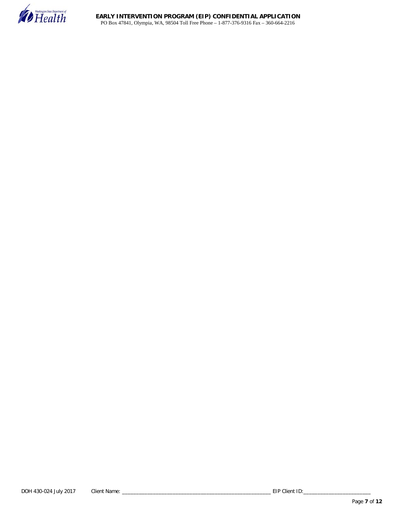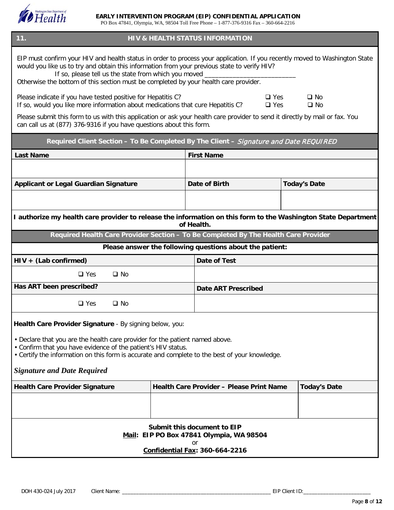

PO Box 47841, Olympia, WA, 98504 Toll Free Phone – 1-877-376-9316 Fax – 360-664-2216

#### **11. HIV & HEALTH STATUS INFORMATION**

EIP must confirm your HIV and health status in order to process your application. If you recently moved to Washington State would you like us to try and obtain this information from your previous state to verify HIV? If so, please tell us the state from which you moved \_

Otherwise the bottom of this section must be completed by your health care provider.

Please indicate if you have tested positive for Hepatitis C?  $\Box$  Yes  $\Box$  No  $\Box$  Yes  $\Box$  No  $\Box$  The S No  $\Box$  No  $\Box$  No  $\Box$  No  $\Box$  No  $\Box$  No  $\Box$  No  $\Box$  No  $\Box$  No  $\Box$  No  $\Box$  No  $\Box$  No  $\Box$  No  $\Box$  No  $\Box$  No

If so, would you like more information about medications that cure Hepatitis C?  $\Box$  Yes  $\Box$  No

| 0 N |  |
|-----|--|
| ОN  |  |

Please submit this form to us with this application or ask your health care provider to send it directly by mail or fax. You can call us at (877) 376-9316 if you have questions about this form.

 **Required Client Section – To Be Completed By The Client –** Signature and Date REQUIRED

| <b>Last Name</b>                                                                                                                                                                                                                                |  | <b>First Name</b>                        |                     |  |
|-------------------------------------------------------------------------------------------------------------------------------------------------------------------------------------------------------------------------------------------------|--|------------------------------------------|---------------------|--|
|                                                                                                                                                                                                                                                 |  |                                          |                     |  |
| <b>Applicant or Legal Guardian Signature</b>                                                                                                                                                                                                    |  | <b>Date of Birth</b>                     | <b>Today's Date</b> |  |
|                                                                                                                                                                                                                                                 |  |                                          |                     |  |
| I authorize my health care provider to release the information on this form to the Washington State Department                                                                                                                                  |  | of Health.                               |                     |  |
| Required Health Care Provider Section - To Be Completed By The Health Care Provider                                                                                                                                                             |  |                                          |                     |  |
| Please answer the following questions about the patient:                                                                                                                                                                                        |  |                                          |                     |  |
| $HIV + (Lab confirmed)$                                                                                                                                                                                                                         |  | <b>Date of Test</b>                      |                     |  |
| $\Box$ Yes<br>$\square$ No                                                                                                                                                                                                                      |  |                                          |                     |  |
| Has ART been prescribed?                                                                                                                                                                                                                        |  | <b>Date ART Prescribed</b>               |                     |  |
| $\square$ Yes<br>$\square$ No                                                                                                                                                                                                                   |  |                                          |                     |  |
| Health Care Provider Signature - By signing below, you:                                                                                                                                                                                         |  |                                          |                     |  |
| . Declare that you are the health care provider for the patient named above.<br>• Confirm that you have evidence of the patient's HIV status.<br>• Certify the information on this form is accurate and complete to the best of your knowledge. |  |                                          |                     |  |
| <b>Signature and Date Required</b>                                                                                                                                                                                                              |  |                                          |                     |  |
| <b>Health Care Provider Signature</b>                                                                                                                                                                                                           |  | Health Care Provider - Please Print Name | <b>Today's Date</b> |  |
|                                                                                                                                                                                                                                                 |  |                                          |                     |  |
|                                                                                                                                                                                                                                                 |  | Submit this document to EIP              |                     |  |

# **Mail: EIP PO Box 47841 Olympia, WA 98504**

or

**Confidential Fax: 360-664-2216**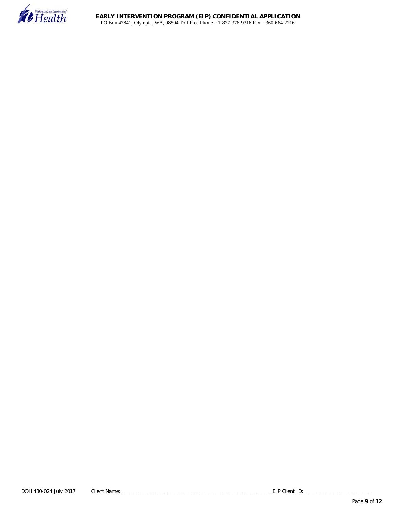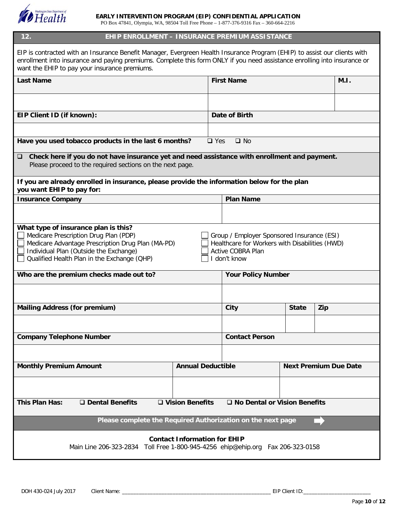

PO Box 47841, Olympia, WA, 98504 Toll Free Phone – 1-877-376-9316 Fax – 360-664-2216

**12. EHIP ENROLLMENT – INSURANCE PREMIUM ASSISTANCE**

| EIP is contracted with an Insurance Benefit Manager, Evergreen Health Insurance Program (EHIP) to assist our clients with<br>enrollment into insurance and paying premiums. Complete this form ONLY if you need assistance enrolling into insurance or<br>want the EHIP to pay your insurance premiums.                                                                 |                          |                           |              |                              |  |
|-------------------------------------------------------------------------------------------------------------------------------------------------------------------------------------------------------------------------------------------------------------------------------------------------------------------------------------------------------------------------|--------------------------|---------------------------|--------------|------------------------------|--|
| <b>Last Name</b>                                                                                                                                                                                                                                                                                                                                                        |                          | <b>First Name</b>         |              | M.I.                         |  |
|                                                                                                                                                                                                                                                                                                                                                                         |                          |                           |              |                              |  |
| EIP Client ID (if known):                                                                                                                                                                                                                                                                                                                                               |                          | <b>Date of Birth</b>      |              |                              |  |
|                                                                                                                                                                                                                                                                                                                                                                         |                          |                           |              |                              |  |
| Have you used tobacco products in the last 6 months?                                                                                                                                                                                                                                                                                                                    | $\Box$ Yes               | $\Box$ No                 |              |                              |  |
| □ Check here if you do not have insurance yet and need assistance with enrollment and payment.<br>Please proceed to the required sections on the next page.                                                                                                                                                                                                             |                          |                           |              |                              |  |
| If you are already enrolled in insurance, please provide the information below for the plan<br>you want EHIP to pay for:                                                                                                                                                                                                                                                |                          |                           |              |                              |  |
| <b>Insurance Company</b>                                                                                                                                                                                                                                                                                                                                                |                          | <b>Plan Name</b>          |              |                              |  |
|                                                                                                                                                                                                                                                                                                                                                                         |                          |                           |              |                              |  |
| What type of insurance plan is this?<br>Medicare Prescription Drug Plan (PDP)<br>Group / Employer Sponsored Insurance (ESI)<br>Medicare Advantage Prescription Drug Plan (MA-PD)<br>Healthcare for Workers with Disabilities (HWD)<br>Individual Plan (Outside the Exchange)<br><b>Active COBRA Plan</b><br>Qualified Health Plan in the Exchange (QHP)<br>I don't know |                          |                           |              |                              |  |
| Who are the premium checks made out to?                                                                                                                                                                                                                                                                                                                                 |                          | <b>Your Policy Number</b> |              |                              |  |
|                                                                                                                                                                                                                                                                                                                                                                         |                          |                           |              |                              |  |
| <b>Mailing Address (for premium)</b>                                                                                                                                                                                                                                                                                                                                    |                          | City                      | <b>State</b> | Zip                          |  |
|                                                                                                                                                                                                                                                                                                                                                                         |                          |                           |              |                              |  |
| <b>Company Telephone Number</b>                                                                                                                                                                                                                                                                                                                                         |                          | <b>Contact Person</b>     |              |                              |  |
|                                                                                                                                                                                                                                                                                                                                                                         |                          |                           |              |                              |  |
| <b>Monthly Premium Amount</b>                                                                                                                                                                                                                                                                                                                                           | <b>Annual Deductible</b> |                           |              | <b>Next Premium Due Date</b> |  |
|                                                                                                                                                                                                                                                                                                                                                                         |                          |                           |              |                              |  |
| This Plan Has:<br>$\Box$ Dental Benefits<br>$\Box$ Vision Benefits<br>□ No Dental or Vision Benefits                                                                                                                                                                                                                                                                    |                          |                           |              |                              |  |
| Please complete the Required Authorization on the next page                                                                                                                                                                                                                                                                                                             |                          |                           |              |                              |  |
| <b>Contact Information for EHIP</b><br>Main Line 206-323-2834 Toll Free 1-800-945-4256 ehip@ehip.org Fax 206-323-0158                                                                                                                                                                                                                                                   |                          |                           |              |                              |  |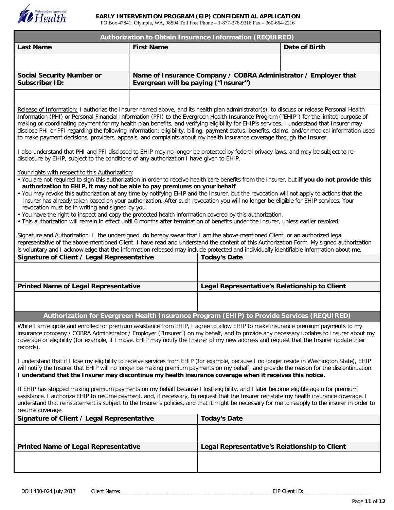

PO Box 47841, Olympia, WA, 98504 Toll Free Phone – 1-877-376-9316 Fax – 360-664-2216

| Authorization to Obtain Insurance Information (REQUIRED)  |                                                                                                                                                                                                                                                                                                                                                                                                                                                                                                                                                                                                                                                                                                              |               |  |  |
|-----------------------------------------------------------|--------------------------------------------------------------------------------------------------------------------------------------------------------------------------------------------------------------------------------------------------------------------------------------------------------------------------------------------------------------------------------------------------------------------------------------------------------------------------------------------------------------------------------------------------------------------------------------------------------------------------------------------------------------------------------------------------------------|---------------|--|--|
| <b>Last Name</b>                                          | <b>First Name</b>                                                                                                                                                                                                                                                                                                                                                                                                                                                                                                                                                                                                                                                                                            | Date of Birth |  |  |
|                                                           |                                                                                                                                                                                                                                                                                                                                                                                                                                                                                                                                                                                                                                                                                                              |               |  |  |
| <b>Social Security Number or</b><br><b>Subscriber ID:</b> | Name of Insurance Company / COBRA Administrator / Employer that<br>Evergreen will be paying ("Insurer")                                                                                                                                                                                                                                                                                                                                                                                                                                                                                                                                                                                                      |               |  |  |
|                                                           |                                                                                                                                                                                                                                                                                                                                                                                                                                                                                                                                                                                                                                                                                                              |               |  |  |
|                                                           | Release of Information: I authorize the Insurer named above, and its health plan administrator(s), to discuss or release Personal Health<br>Information (PHI) or Personal Financial Information (PFI) to the Evergreen Health Insurance Program ("EHIP") for the limited purpose of<br>making or coordinating payment for my health plan benefits, and verifying eligibility for EHIP's services. I understand that Insurer may<br>disclose PHI or PFI regarding the following information: eligibility, billing, payment status, benefits, claims, and/or medical information used<br>to make payment decisions, providers, appeals, and complaints about my health insurance coverage through the Insurer. |               |  |  |

I also understand that PHI and PFI disclosed to EHIP may no longer be protected by federal privacy laws, and may be subject to redisclosure by EHIP, subject to the conditions of any authorization I have given to EHIP.

Your rights with respect to this Authorization:

- You are not required to sign this authorization in order to receive health care benefits from the Insurer, but **if you do not provide this authorization to EHIP, it may not be able to pay premiums on your behalf**.
- You may revoke this authorization at any time by notifying EHIP and the Insurer, but the revocation will not apply to actions that the Insurer has already taken based on your authorization. After such revocation you will no longer be eligible for EHIP services. Your revocation must be in writing and signed by you.
- You have the right to inspect and copy the protected health information covered by this authorization.
- This authorization will remain in effect until 6 months after termination of benefits under the Insurer, unless earlier revoked.

Signature and Authorization. I, the undersigned, do hereby swear that I am the above-mentioned Client, or an authorized legal representative of the above-mentioned Client. I have read and understand the content of this Authorization Form. My signed authorization is voluntary and I acknowledge that the information released may include protected and individually identifiable information about me.<br>
Signature of Client / Legal Penresentative [10031's Date] **Signature of Client / Legal Representative** 

| Signature or Chent / Legar Representative   | TUUD 3 DATE                                   |
|---------------------------------------------|-----------------------------------------------|
|                                             |                                               |
|                                             |                                               |
| <b>Printed Name of Legal Representative</b> | Legal Representative's Relationship to Client |
|                                             |                                               |
|                                             |                                               |

## **Authorization for Evergreen Health Insurance Program (EHIP) to Provide Services (REQUIRED)**

While I am eligible and enrolled for premium assistance from EHIP, I agree to allow EHIP to make insurance premium payments to my insurance company / COBRA Administrator / Employer ("Insurer") on my behalf, and to provide any necessary updates to Insurer about my coverage or eligibility (for example, if I move, EHIP may notify the Insurer of my new address and request that the Insurer update their records).

I understand that if I lose my eligibility to receive services from EHIP (for example, because I no longer reside in Washington State), EHIP will notify the Insurer that EHIP will no longer be making premium payments on my behalf, and provide the reason for the discontinuation. **I understand that the Insurer may discontinue my health insurance coverage when it receives this notice.** 

If EHIP has stopped making premium payments on my behalf because I lost eligibility, and I later become eligible again for premium assistance, I authorize EHIP to resume payment, and, if necessary, to request that the Insurer reinstate my health insurance coverage. I understand that reinstatement is subject to the Insurer's policies, and that it might be necessary for me to reapply to the insurer in order to resume coverage.

| Signature of Client / Legal Representative  | <b>Today's Date</b>                           |
|---------------------------------------------|-----------------------------------------------|
|                                             |                                               |
|                                             |                                               |
| <b>Printed Name of Legal Representative</b> | Legal Representative's Relationship to Client |
|                                             |                                               |
|                                             |                                               |